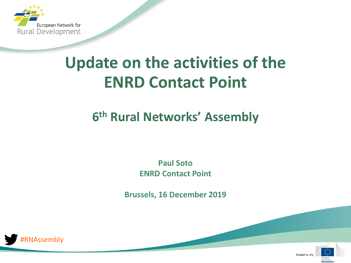

# **Update on the activities of the ENRD Contact Point**

# **6 th Rural Networks' Assembly**

**Paul Soto ENRD Contact Point**

**Brussels, 16 December 2019**



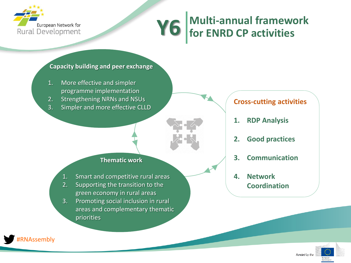

# **Multi-annual framework Y6 for ENRD CP activities**

#### **Capacity building and peer exchange**

- 1. More effective and simpler programme implementation
- 2. Strengthening NRNs and NSUs
- 3. Simpler and more effective CLLD



#### **Thematic work**

- 1. Smart and competitive rural areas
- 2. Supporting the transition to the green economy in rural areas
- 3. Promoting social inclusion in rural areas and complementary thematic priorities

## **Cross-cutting activities**

- **1. RDP Analysis**
- **2. Good practices**
- **3. Communication**
- **4. Network Coordination**



**RNAssembly**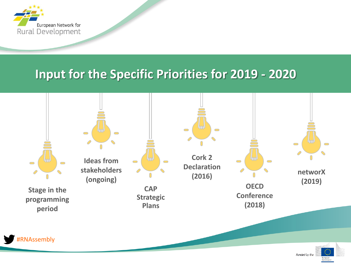

# **Input for the Specific Priorities for 2019 - 2020**

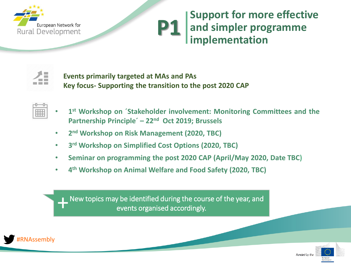

# **Support for more effective and simpler programme implementation P1**



**Events primarily targeted at MAs and PAs Key focus- Supporting the transition to the post 2020 CAP**

- 
- **1 st Workshop on ´Stakeholder involvement: Monitoring Committees and the Partnership Principle´ – 22nd Oct 2019; Brussels**
- **2 nd Workshop on Risk Management (2020, TBC)**
- **3 rd Workshop on Simplified Cost Options (2020, TBC)**
- **Seminar on programming the post 2020 CAP (April/May 2020, Date TBC)**
- **4 th Workshop on Animal Welfare and Food Safety (2020, TBC)**

New topics may be identified during the course of the year, and<br>events organised accordingly. events organised accordingly.



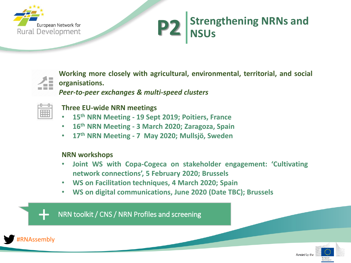

# **Strengthening NRNs and P2** Stren



**Working more closely with agricultural, environmental, territorial, and social organisations.**

*Peer-to-peer exchanges & multi-speed clusters*



**Three EU-wide NRN meetings**

- **15th NRN Meeting - 19 Sept 2019; Poitiers, France**
- **16th NRN Meeting - 3 March 2020; Zaragoza, Spain**
- **17th NRN Meeting - 7 May 2020; Mullsjö, Sweden**

### **NRN workshops**

- **Joint WS with Copa-Cogeca on stakeholder engagement: 'Cultivating network connections', 5 February 2020; Brussels**
- **WS on Facilitation techniques, 4 March 2020; Spain**
- **WS on digital communications, June 2020 (Date TBC); Brussels**

NRN toolkit / CNS / NRN Profiles and screening



+

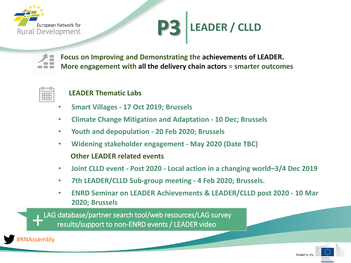

# **LEADER / CLLD P3**



**Focus on Improving and Demonstrating the achievements of LEADER. More engagement with all the delivery chain actors = smarter outcomes**



## **LEADER Thematic Labs**

- **Smart Villages - 17 Oct 2019; Brussels**
- **Climate Change Mitigation and Adaptation - 10 Dec; Brussels**
- **Youth and depopulation - 20 Feb 2020; Brussels**
- **Widening stakeholder engagement - May 2020 (Date TBC) Other LEADER related events**
- **Joint CLLD event - Post 2020 - Local action in a changing world–3/4 Dec 2019**
- **7th LEADER/CLLD Sub-group meeting - 4 Feb 2020; Brussels.**
- **ENRD Seminar on LEADER Achievements & LEADER/CLLD post 2020 - 10 Mar 2020; Brussels**

LAG database/partner search tool/web resources/LAG survey results/support to non-ENRD events / LEADER video +



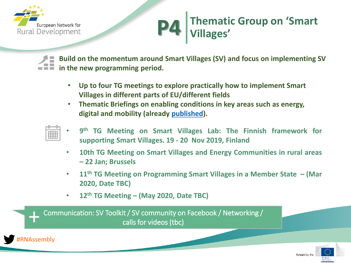

# **Thematic Group on 'Smart Villages' P4**

**Build on the momentum around Smart Villages (SV) and focus on implementing SV in the new programming period.**

- **Up to four TG meetings to explore practically how to implement Smart Villages in different parts of EU/different fields**
- **Thematic Briefings on enabling conditions in key areas such as energy, digital and mobility (already [published\)](https://enrd.ec.europa.eu/smart-and-competitive-rural-areas/smart-villages/smart-villages-portal/smart-villages-toolkit_en).**

| ,,,,,,, | ÷. |  |
|---------|----|--|
| ī       |    |  |
|         |    |  |
|         |    |  |

- **9 th TG Meeting on Smart Villages Lab: The Finnish framework for supporting Smart Villages. 19 - 20 Nov 2019, Finland**
- **10th TG Meeting on Smart Villages and Energy Communities in rural areas – 22 Jan; Brussels**
- **11th TG Meeting on Programming Smart Villages in a Member State – (Mar 2020, Date TBC)**
- **12th TG Meeting – (May 2020, Date TBC)**

Communication: SV Toolkit / SV community on Facebook / Networking / calls for videos (tbc) +



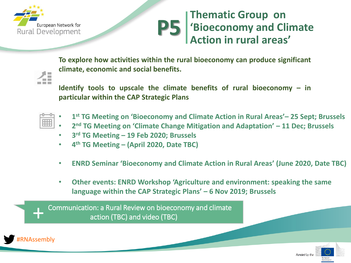

# **Thematic Group on 'Bioeconomy and Climate Action in rural areas' P5**

**To explore how activities within the rural bioeconomy can produce significant climate, economic and social benefits.**



**Identify tools to upscale the climate benefits of rural bioeconomy – in particular within the CAP Strategic Plans**

| ,,,,,,,,,,,,,,,<br>÷<br>Ŧ<br>× |  |
|--------------------------------|--|
| ۰<br>E<br>,,,,,,,,,,,,,,,,,    |  |

- **1 st TG Meeting on 'Bioeconomy and Climate Action in Rural Areas'– 25 Sept; Brussels**
- **2<sup>nd</sup> TG Meeting on 'Climate Change Mitigation and Adaptation' 11 Dec; Brussels**
- **3 rd TG Meeting – 19 Feb 2020; Brussels**
- **4 th TG Meeting – (April 2020, Date TBC)**
- **ENRD Seminar 'Bioeconomy and Climate Action in Rural Areas' (June 2020, Date TBC)**
- **Other events: ENRD Workshop 'Agriculture and environment: speaking the same language within the CAP Strategic Plans' – 6 Nov 2019; Brussels**

Communication: a Rural Review on bioeconomy and climate action (TBC) and video (TBC)



+

+

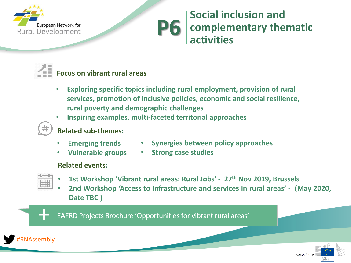

# **Social inclusion and complementary thematic activities P6**



- **Exploring specific topics including rural employment, provision of rural services, promotion of inclusive policies, economic and social resilience, rural poverty and demographic challenges**
- **Inspiring examples, multi-faceted territorial approaches**
- **Related sub-themes:**
	-
	- **Emerging trends Synergies between policy approaches**
	- **Vulnerable groups**
- **Strong case studies**

## **Related events:**



- **1st Workshop 'Vibrant rural areas: Rural Jobs' - 27th Nov 2019, Brussels**
- **2nd Workshop 'Access to infrastructure and services in rural areas' - (May 2020, Date TBC )**

EAFRD Projects Brochure 'Opportunities for vibrant rural areas'



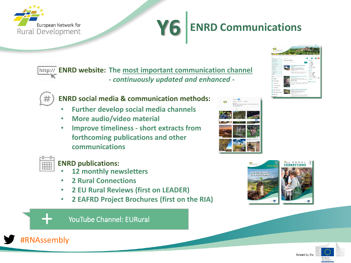

# **ENRD Communications Y6**

**ENRD website: The most important communication channel -** *continuously updated and enhanced* **-**

## **ENRD social media & communication methods:**

- **Further develop social media channels**
- **More audio/video material**
- **Improve timeliness - short extracts from forthcoming publications and other communications**



+

#RNAssembly

### **ENRD publications:**

- **12 monthly newsletters**
- **2 Rural Connections**
- **2 EU Rural Reviews (first on LEADER)**
- **2 EAFRD Project Brochures (first on the RIA)**



YouTube Channel: EURural